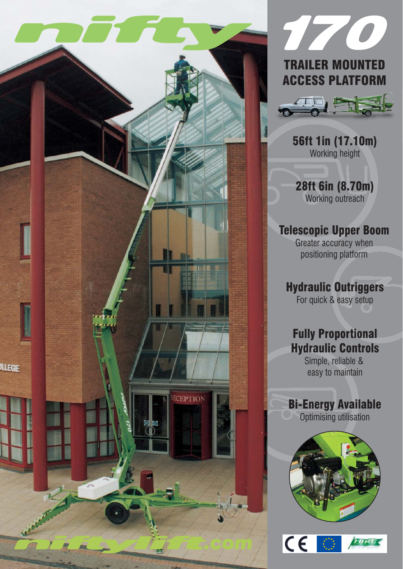



## TRAILER MOUNTED ACCESS PLATFORM



56ft 1in (17.10m) Working height

28ft 6in (8.70m) Working outreach

## Telescopic Upper Boom

Greater accuracy when positioning platform

## Hydraulic Outriggers

For quick & easy setup

# Fully Proportional Hydraulic Controls

Simple, reliable & easy to maintain

## Bi-Energy Available

**O** Optimising utilisation